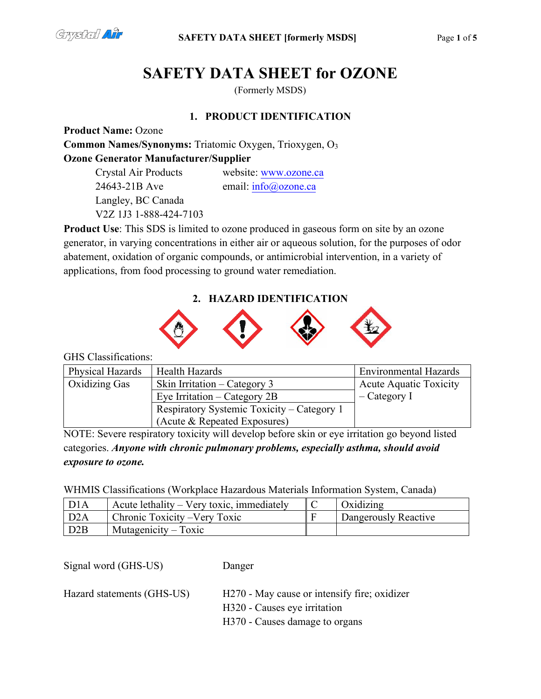

# **SAFETY DATA SHEET for OZONE**

(Formerly MSDS)

# **1. PRODUCT IDENTIFICATION**

**Product Name:** Ozone **Common Names/Synonyms:** Triatomic Oxygen, Trioxygen, O3 **Ozone Generator Manufacturer/Supplier**

> Crystal Air Products website: [www.ozone](http://www.ozonesolutions.com/).ca 24643-21B Ave email: [info@ozone.ca](mailto:tech@ozonesolutions.com) Langley, BC Canada V2Z 1J3 1-888-424-7103

**Product Use**: This SDS is limited to ozone produced in gaseous form on site by an ozone generator, in varying concentrations in either air or aqueous solution, for the purposes of odor abatement, oxidation of organic compounds, or antimicrobial intervention, in a variety of applications, from food processing to ground water remediation.

# **2. HAZARD IDENTIFICATION**



GHS Classifications:

| Physical Hazards | Health Hazards                             | <b>Environmental Hazards</b>  |
|------------------|--------------------------------------------|-------------------------------|
| Oxidizing Gas    | Skin Irritation – Category 3               | <b>Acute Aquatic Toxicity</b> |
|                  | Eye Irritation – Category $2B$             | $-$ Category I                |
|                  | Respiratory Systemic Toxicity – Category 1 |                               |
|                  | (Acute & Repeated Exposures)               |                               |

NOTE: Severe respiratory toxicity will develop before skin or eye irritation go beyond listed categories. *Anyone with chronic pulmonary problems, especially asthma, should avoid exposure to ozone.* 

WHMIS Classifications (Workplace Hazardous Materials Information System, Canada)

| D1A              | Acute lethality – Very toxic, immediately | Oxidizing            |
|------------------|-------------------------------------------|----------------------|
| D <sub>2</sub> A | Chronic Toxicity – Very Toxic             | Dangerously Reactive |
| D <sub>2</sub> B | Mutagenicity $-$ Toxic                    |                      |

Signal word (GHS-US) Danger

Hazard statements (GHS-US) H270 - May cause or intensify fire; oxidizer

H320 - Causes eye irritation

H370 - Causes damage to organs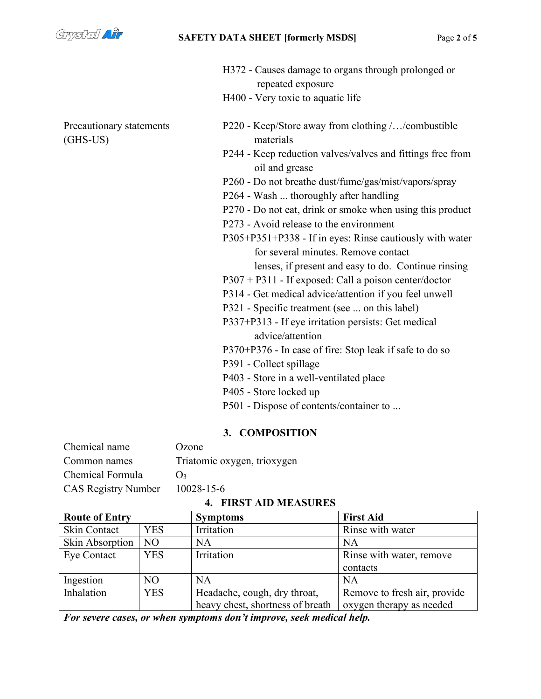

(GHS-US) materials

H372 - Causes damage to organs through prolonged or repeated exposure

- H400 Very toxic to aquatic life
- Precautionary statements P220 Keep/Store away from clothing /.../combustible
	- P244 Keep reduction valves/valves and fittings free from oil and grease
	- P260 Do not breathe dust/fume/gas/mist/vapors/spray
	- P264 Wash ... thoroughly after handling
	- P270 Do not eat, drink or smoke when using this product
	- P273 Avoid release to the environment
	- P305+P351+P338 If in eyes: Rinse cautiously with water for several minutes. Remove contact lenses, if present and easy to do. Continue rinsing
	- P307 + P311 If exposed: Call a poison center/doctor
	- P314 Get medical advice/attention if you feel unwell
	- P321 Specific treatment (see ... on this label)
	- P337+P313 If eye irritation persists: Get medical advice/attention
	- P370+P376 In case of fire: Stop leak if safe to do so
	- P391 Collect spillage
	- P403 Store in a well-ventilated place
	- P405 Store locked up
	- P501 Dispose of contents/container to ...

#### **3. COMPOSITION**

| Chemical name                  | Ozone                       |
|--------------------------------|-----------------------------|
| Common names                   | Triatomic oxygen, trioxygen |
| Chemical Formula               | $()_2$                      |
| CAS Registry Number 10028-15-6 |                             |

#### **4. FIRST AID MEASURES**

| <b>Route of Entry</b> |                | <b>Symptoms</b>                  | <b>First Aid</b>             |
|-----------------------|----------------|----------------------------------|------------------------------|
| Skin Contact          | <b>YES</b>     | Irritation                       | Rinse with water             |
| Skin Absorption       | N <sub>O</sub> | NA                               | <b>NA</b>                    |
| Eye Contact           | <b>YES</b>     | Irritation                       | Rinse with water, remove     |
|                       |                |                                  | contacts                     |
| Ingestion             | N <sub>O</sub> | NA                               | NA                           |
| Inhalation            | <b>YES</b>     | Headache, cough, dry throat,     | Remove to fresh air, provide |
|                       |                | heavy chest, shortness of breath | oxygen therapy as needed     |

*For severe cases, or when symptoms don't improve, seek medical help.*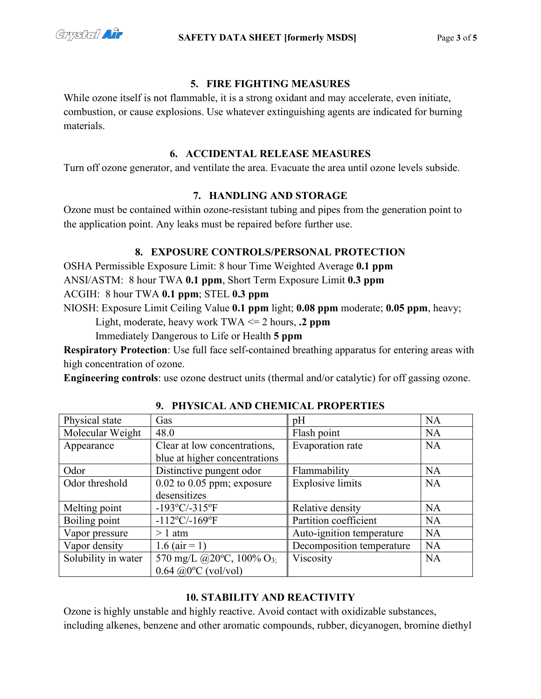

## **5. FIRE FIGHTING MEASURES**

While ozone itself is not flammable, it is a strong oxidant and may accelerate, even initiate, combustion, or cause explosions. Use whatever extinguishing agents are indicated for burning materials.

## **6. ACCIDENTAL RELEASE MEASURES**

Turn off ozone generator, and ventilate the area. Evacuate the area until ozone levels subside.

## **7. HANDLING AND STORAGE**

Ozone must be contained within ozone-resistant tubing and pipes from the generation point to the application point. Any leaks must be repaired before further use.

## **8. EXPOSURE CONTROLS/PERSONAL PROTECTION**

OSHA Permissible Exposure Limit: 8 hour Time Weighted Average **0.1 ppm**

ANSI/ASTM: 8 hour TWA **0.1 ppm**, Short Term Exposure Limit **0.3 ppm**

ACGIH: 8 hour TWA **0.1 ppm**; STEL **0.3 ppm**

NIOSH: Exposure Limit Ceiling Value **0.1 ppm** light; **0.08 ppm** moderate; **0.05 ppm**, heavy;

Light, moderate, heavy work TWA <= 2 hours, **.2 ppm**

Immediately Dangerous to Life or Health **5 ppm**

**Respiratory Protection**: Use full face self-contained breathing apparatus for entering areas with high concentration of ozone.

**Engineering controls**: use ozone destruct units (thermal and/or catalytic) for off gassing ozone.

| Physical state      | Gas                                             | pH                        | <b>NA</b> |
|---------------------|-------------------------------------------------|---------------------------|-----------|
| Molecular Weight    | 48.0                                            | Flash point               | <b>NA</b> |
| Appearance          | Clear at low concentrations,                    | Evaporation rate          | <b>NA</b> |
|                     | blue at higher concentrations                   |                           |           |
| Odor                | Distinctive pungent odor                        | Flammability              | <b>NA</b> |
| Odor threshold      | $0.02$ to $0.05$ ppm; exposure                  | <b>Explosive limits</b>   | <b>NA</b> |
|                     | desensitizes                                    |                           |           |
| Melting point       | $-193^{\circ}$ C/-315 $^{\circ}$ F              | Relative density          | <b>NA</b> |
| Boiling point       | $-112$ °C/-169°F                                | Partition coefficient     | <b>NA</b> |
| Vapor pressure      | $>1$ atm                                        | Auto-ignition temperature | <b>NA</b> |
| Vapor density       | 1.6 ( $air = 1$ )                               | Decomposition temperature | <b>NA</b> |
| Solubility in water | 570 mg/L @20 $^{\circ}$ C, 100% O <sub>3;</sub> | Viscosity                 | <b>NA</b> |
|                     | $0.64$ @ $0^{\circ}$ C (vol/vol)                |                           |           |

## **9. PHYSICAL AND CHEMICAL PROPERTIES**

## **10. STABILITY AND REACTIVITY**

Ozone is highly unstable and highly reactive. Avoid contact with oxidizable substances, including alkenes, benzene and other aromatic compounds, rubber, dicyanogen, bromine diethyl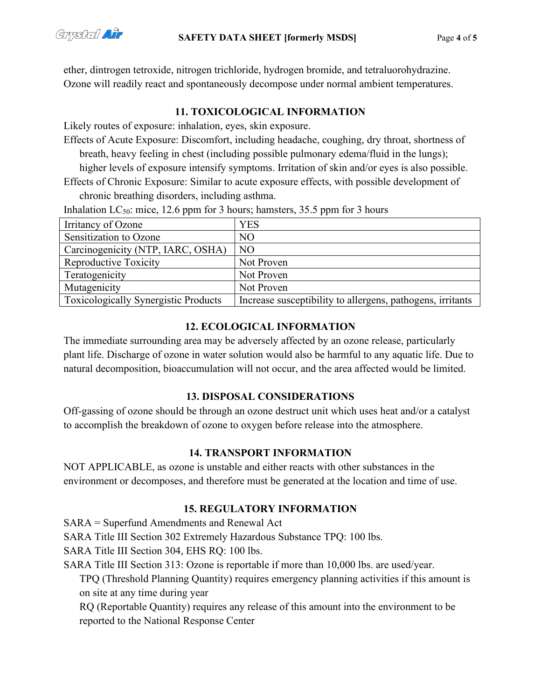ether, dintrogen tetroxide, nitrogen trichloride, hydrogen bromide, and tetraluorohydrazine. Ozone will readily react and spontaneously decompose under normal ambient temperatures.

## **11. TOXICOLOGICAL INFORMATION**

Likely routes of exposure: inhalation, eyes, skin exposure.

Effects of Acute Exposure: Discomfort, including headache, coughing, dry throat, shortness of breath, heavy feeling in chest (including possible pulmonary edema/fluid in the lungs); higher levels of exposure intensify symptoms. Irritation of skin and/or eyes is also possible. Effects of Chronic Exposure: Similar to acute exposure effects, with possible development of

chronic breathing disorders, including asthma.

| Irritancy of Ozone                          | <b>YES</b>                                                 |
|---------------------------------------------|------------------------------------------------------------|
| Sensitization to Ozone                      | NO                                                         |
| Carcinogenicity (NTP, IARC, OSHA)           | N <sub>O</sub>                                             |
| Reproductive Toxicity                       | Not Proven                                                 |
| Teratogenicity                              | Not Proven                                                 |
| Mutagenicity                                | Not Proven                                                 |
| <b>Toxicologically Synergistic Products</b> | Increase susceptibility to allergens, pathogens, irritants |

Inhalation  $LC_{50}$ : mice, 12.6 ppm for 3 hours; hamsters, 35.5 ppm for 3 hours

# **12. ECOLOGICAL INFORMATION**

The immediate surrounding area may be adversely affected by an ozone release, particularly plant life. Discharge of ozone in water solution would also be harmful to any aquatic life. Due to natural decomposition, bioaccumulation will not occur, and the area affected would be limited.

## **13. DISPOSAL CONSIDERATIONS**

Off-gassing of ozone should be through an ozone destruct unit which uses heat and/or a catalyst to accomplish the breakdown of ozone to oxygen before release into the atmosphere.

# **14. TRANSPORT INFORMATION**

NOT APPLICABLE, as ozone is unstable and either reacts with other substances in the environment or decomposes, and therefore must be generated at the location and time of use.

# **15. REGULATORY INFORMATION**

SARA = Superfund Amendments and Renewal Act

SARA Title III Section 302 Extremely Hazardous Substance TPQ: 100 lbs.

SARA Title III Section 304, EHS RQ: 100 lbs.

SARA Title III Section 313: Ozone is reportable if more than 10,000 lbs. are used/year.

TPQ (Threshold Planning Quantity) requires emergency planning activities if this amount is on site at any time during year

RQ (Reportable Quantity) requires any release of this amount into the environment to be reported to the National Response Center